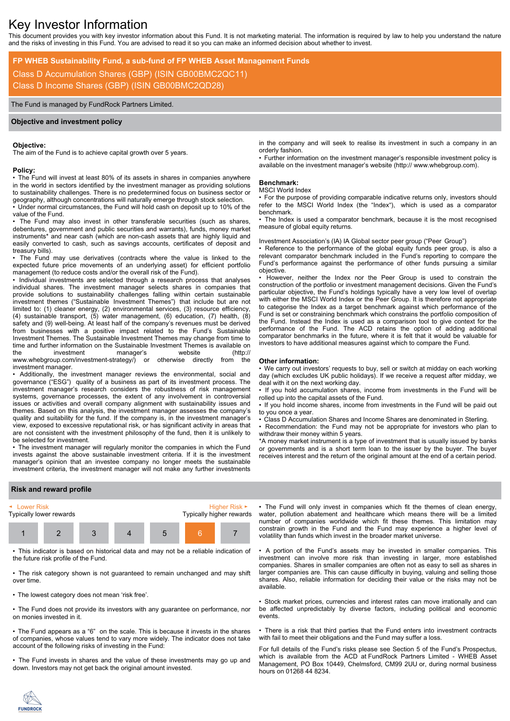# Key Investor Information

This document provides you with key investor information about this Fund. It is not marketing material. The information is required by law to help you understand the nature and the risks of investing in this Fund. You are advised to read it so you can make an informed decision about whether to invest.

## **FP WHEB Sustainability Fund, a sub-fund of FP WHEB Asset Management Funds**

Class D Accumulation Shares (GBP) (ISIN GB00BMC2QC11) Class D Income Shares (GBP) (ISIN GB00BMC2QD28)

The Fund is managed by FundRock Partners Limited.

## **Objective and investment policy**

#### **Objective:**

The aim of the Fund is to achieve capital growth over 5 years.

#### **Policy:**

• The Fund will invest at least 80% of its assets in shares in companies anywhere in the world in sectors identified by the investment manager as providing solutions to sustainability challenges. There is no predetermined focus on business sector or geography, although concentrations will naturally emerge through stock selection.

• Under normal circumstances, the Fund will hold cash on deposit up to 10% of the value of the Fund.

The Fund may also invest in other transferable securities (such as shares, debentures, government and public securities and warrants), funds, money market instruments\* and near cash (which are non-cash assets that are highly liquid and easily converted to cash, such as savings accounts, certificates of deposit and treasury bills).

• The Fund may use derivatives (contracts where the value is linked to the expected future price movements of an underlying asset) for efficient portfolio management (to reduce costs and/or the overall risk of the Fund).

• Individual investments are selected through a research process that analyses individual shares. The investment manager selects shares in companies that provide solutions to sustainability challenges falling within certain sustainable investment themes ("Sustainable Investment Themes") that include but are not limited to: (1) cleaner energy, (2) environmental services, (3) resource efficiency, (4) sustainable transport, (5) water management, (6) education, (7) health, (8) safety and (9) well-being. At least half of the company's revenues must be derived from businesses with a positive impact related to the Fund's Sustainable Investment Themes. The Sustainable Investment Themes may change from time to time and further information on the Sustainable Investment Themes is available on the investment manager's website (http://<br>www.whebgroup.com/investment-strategy/) or otherwise directly from the www.whebgroup.com/investment-strategy/) or otherwise investment manager.

• Additionally, the investment manager reviews the environmental, social and governance ("ESG") quality of a business as part of its investment process. The investment manager's research considers the robustness of risk management systems, governance processes, the extent of any involvement in controversial issues or activities and overall company alignment with sustainability issues and themes. Based on this analysis, the investment manager assesses the company's quality and suitability for the fund. If the company is, in the investment manager's view, exposed to excessive reputational risk, or has significant activity in areas that are not consistent with the investment philosophy of the fund, then it is unlikely to be selected for investment.

• The investment manager will regularly monitor the companies in which the Fund invests against the above sustainable investment criteria. If it is the investment manager's opinion that an investee company no longer meets the sustainable investment criteria, the investment manager will not make any further investments

in the company and will seek to realise its investment in such a company in an orderly fashion.

• Further information on the investment manager's responsible investment policy is available on the investment manager's website (http:// www.whebgroup.com).

## **Benchmark:**

#### MSCI World Index

• For the purpose of providing comparable indicative returns only, investors should refer to the MSCI World Index (the "Index"), which is used as a comparator benchmark.

• The Index is used a comparator benchmark, because it is the most recognised measure of global equity returns.

Investment Association's (IA) IA Global sector peer group ("Peer Group")

• Reference to the performance of the global equity funds peer group, is also a relevant comparator benchmark included in the Fund's reporting to compare the Fund's performance against the performance of other funds pursuing a similar objective.

• However, neither the Index nor the Peer Group is used to constrain the construction of the portfolio or investment management decisions. Given the Fund's particular objective, the Fund's holdings typically have a very low level of overlap with either the MSCI World Index or the Peer Group. It is therefore not appropriate to categorise the Index as a target benchmark against which performance of the Fund is set or constraining benchmark which constrains the portfolio composition of the Fund. Instead the Index is used as a comparison tool to give context for the performance of the Fund. The ACD retains the option of adding additional comparator benchmarks in the future, where it is felt that it would be valuable for investors to have additional measures against which to compare the Fund.

#### **Other information:**

• We carry out investors' requests to buy, sell or switch at midday on each working day (which excludes UK public holidays). If we receive a request after midday, we deal with it on the next working day.

• If you hold accumulation shares, income from investments in the Fund will be rolled up into the capital assets of the Fund.

• If you hold income shares, income from investments in the Fund will be paid out to you once a year.

• Class D Accumulation Shares and Income Shares are denominated in Sterling. • Recommendation: the Fund may not be appropriate for investors who plan to withdraw their money within 5 years.

\*A money market instrument is a type of investment that is usually issued by banks or governments and is a short term loan to the issuer by the buyer. The buyer receives interest and the return of the original amount at the end of a certain period.

## **Risk and reward profile**



• This indicator is based on historical data and may not be a reliable indication of the future risk profile of the Fund.

• The risk category shown is not guaranteed to remain unchanged and may shift over time.

• The lowest category does not mean 'risk free'.

• The Fund does not provide its investors with any guarantee on performance, nor on monies invested in it.

• The Fund appears as a "6" on the scale. This is because it invests in the shares of companies, whose values tend to vary more widely. The indicator does not take account of the following risks of investing in the Fund:

• The Fund invests in shares and the value of these investments may go up and down. Investors may not get back the original amount invested.

• The Fund will only invest in companies which fit the themes of clean energy, water, pollution abatement and healthcare which means there will be a limited number of companies worldwide which fit these themes. This limitation may constrain growth in the Fund and the Fund may experience a higher level of volatility than funds which invest in the broader market universe.

• A portion of the Fund's assets may be invested in smaller companies. This investment can involve more risk than investing in larger, more established companies. Shares in smaller companies are often not as easy to sell as shares in larger companies are. This can cause difficulty in buying, valuing and selling those shares. Also, reliable information for deciding their value or the risks may not be available.

• Stock market prices, currencies and interest rates can move irrationally and can be affected unpredictably by diverse factors, including political and economic events.

• There is a risk that third parties that the Fund enters into investment contracts with fail to meet their obligations and the Fund may suffer a loss.

For full details of the Fund's risks please see Section 5 of the Fund's Prospectus, which is available from the ACD at FundRock Partners Limited - WHEB Asset Management, PO Box 10449, Chelmsford, CM99 2UU or, during normal business hours on 01268 44 8234.